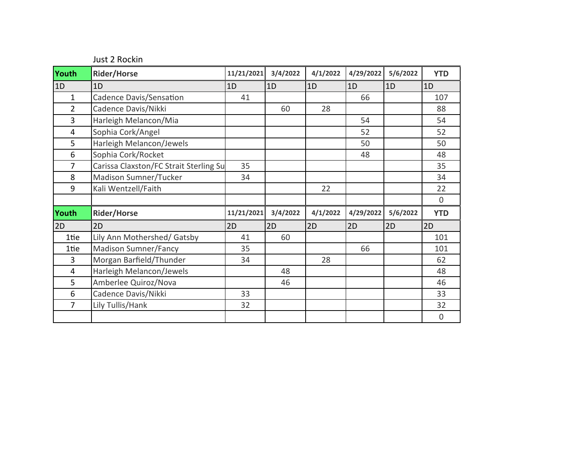Just 2 Rockin

| Youth          | <b>Rider/Horse</b>                     | 11/21/2021 | 3/4/2022 | 4/1/2022 | 4/29/2022 | 5/6/2022 | <b>YTD</b>  |
|----------------|----------------------------------------|------------|----------|----------|-----------|----------|-------------|
| 1D             | 1D                                     | 1D         | 1D       | 1D       | 1D        | 1D       | 1D          |
| $\mathbf{1}$   | Cadence Davis/Sensation                | 41         |          |          | 66        |          | 107         |
| $\overline{2}$ | Cadence Davis/Nikki                    |            | 60       | 28       |           |          | 88          |
| 3              | Harleigh Melancon/Mia                  |            |          |          | 54        |          | 54          |
| 4              | Sophia Cork/Angel                      |            |          |          | 52        |          | 52          |
| 5              | Harleigh Melancon/Jewels               |            |          |          | 50        |          | 50          |
| 6              | Sophia Cork/Rocket                     |            |          |          | 48        |          | 48          |
| 7              | Carissa Claxston/FC Strait Sterling Su | 35         |          |          |           |          | 35          |
| 8              | Madison Sumner/Tucker                  | 34         |          |          |           |          | 34          |
| 9              | Kali Wentzell/Faith                    |            |          | 22       |           |          | 22          |
|                |                                        |            |          |          |           |          | $\mathbf 0$ |
| Youth          | <b>Rider/Horse</b>                     | 11/21/2021 | 3/4/2022 | 4/1/2022 | 4/29/2022 | 5/6/2022 | <b>YTD</b>  |
| 2D             | 2D                                     | 2D         | 2D       | 2D       | 2D        | 2D       | 2D          |
| 1tie           | Lily Ann Mothershed/ Gatsby            | 41         | 60       |          |           |          | 101         |
| 1tie           | <b>Madison Sumner/Fancy</b>            | 35         |          |          | 66        |          | 101         |
| 3              | Morgan Barfield/Thunder                | 34         |          | 28       |           |          | 62          |
| 4              | Harleigh Melancon/Jewels               |            | 48       |          |           |          | 48          |
| 5              | Amberlee Quiroz/Nova                   |            | 46       |          |           |          | 46          |
| 6              | Cadence Davis/Nikki                    | 33         |          |          |           |          | 33          |
| $\overline{7}$ | Lily Tullis/Hank                       | 32         |          |          |           |          | 32          |
|                |                                        |            |          |          |           |          | $\mathbf 0$ |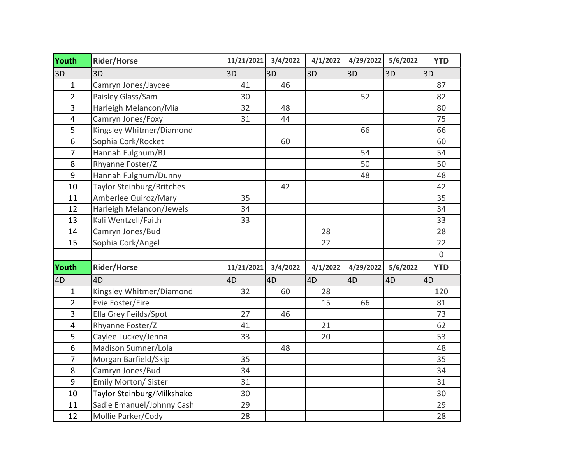| Youth                   | <b>Rider/Horse</b>               | 11/21/2021 | 3/4/2022 | 4/1/2022 | 4/29/2022 | 5/6/2022 | <b>YTD</b>     |
|-------------------------|----------------------------------|------------|----------|----------|-----------|----------|----------------|
| 3D                      | 3D                               | 3D         | 3D       | 3D       | 3D        | 3D       | 3D             |
| $\mathbf{1}$            | Camryn Jones/Jaycee              | 41         | 46       |          |           |          | 87             |
| $\overline{2}$          | Paisley Glass/Sam                | 30         |          |          | 52        |          | 82             |
| 3                       | Harleigh Melancon/Mia            | 32         | 48       |          |           |          | 80             |
| $\overline{\mathbf{4}}$ | Camryn Jones/Foxy                | 31         | 44       |          |           |          | 75             |
| 5                       | Kingsley Whitmer/Diamond         |            |          |          | 66        |          | 66             |
| 6                       | Sophia Cork/Rocket               |            | 60       |          |           |          | 60             |
| $\overline{7}$          | Hannah Fulghum/BJ                |            |          |          | 54        |          | 54             |
| 8                       | Rhyanne Foster/Z                 |            |          |          | 50        |          | 50             |
| 9                       | Hannah Fulghum/Dunny             |            |          |          | 48        |          | 48             |
| 10                      | <b>Taylor Steinburg/Britches</b> |            | 42       |          |           |          | 42             |
| 11                      | Amberlee Quiroz/Mary             | 35         |          |          |           |          | 35             |
| 12                      | Harleigh Melancon/Jewels         | 34         |          |          |           |          | 34             |
| 13                      | Kali Wentzell/Faith              | 33         |          |          |           |          | 33             |
| 14                      | Camryn Jones/Bud                 |            |          | 28       |           |          | 28             |
| 15                      | Sophia Cork/Angel                |            |          | 22       |           |          | 22             |
|                         |                                  |            |          |          |           |          | $\overline{0}$ |
| Youth                   | <b>Rider/Horse</b>               | 11/21/2021 | 3/4/2022 | 4/1/2022 | 4/29/2022 | 5/6/2022 | <b>YTD</b>     |
| 4D                      | 4D                               | 4D         | 4D       | 4D       | 4D        | 4D       | 4D             |
| $\mathbf{1}$            | Kingsley Whitmer/Diamond         | 32         | 60       | 28       |           |          | 120            |
| $\overline{2}$          | Evie Foster/Fire                 |            |          | 15       | 66        |          | 81             |
| $\overline{3}$          | Ella Grey Feilds/Spot            | 27         | 46       |          |           |          | 73             |
| $\overline{\mathbf{4}}$ | Rhyanne Foster/Z                 | 41         |          | 21       |           |          | 62             |
| 5                       | Caylee Luckey/Jenna              | 33         |          | 20       |           |          | 53             |
| 6                       | Madison Sumner/Lola              |            | 48       |          |           |          | 48             |
| $\overline{7}$          | Morgan Barfield/Skip             | 35         |          |          |           |          | 35             |
| 8                       | Camryn Jones/Bud                 | 34         |          |          |           |          | 34             |
| 9                       | Emily Morton/ Sister             | 31         |          |          |           |          | 31             |
| 10                      | Taylor Steinburg/Milkshake       | 30         |          |          |           |          | 30             |
| 11                      | Sadie Emanuel/Johnny Cash        | 29         |          |          |           |          | 29             |
| 12                      | Mollie Parker/Cody               | 28         |          |          |           |          | 28             |